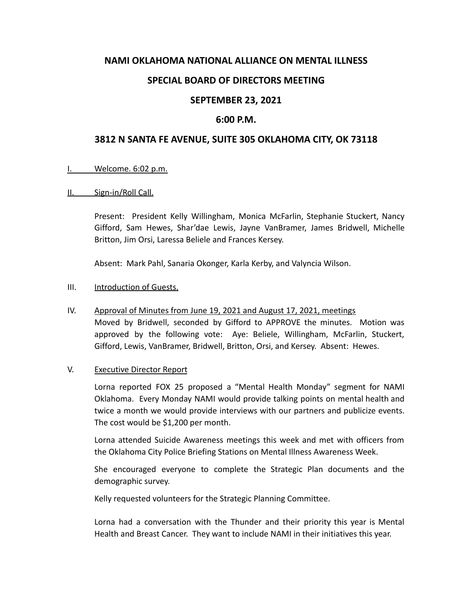# **NAMI OKLAHOMA NATIONAL ALLIANCE ON MENTAL ILLNESS**

# **SPECIAL BOARD OF DIRECTORS MEETING**

# **SEPTEMBER 23, 2021**

### **6:00 P.M.**

# **3812 N SANTA FE AVENUE, SUITE 305 OKLAHOMA CITY, OK 73118**

#### I. Welcome. 6:02 p.m.

#### II. Sign-in/Roll Call.

Present: President Kelly Willingham, Monica McFarlin, Stephanie Stuckert, Nancy Gifford, Sam Hewes, Shar'dae Lewis, Jayne VanBramer, James Bridwell, Michelle Britton, Jim Orsi, Laressa Beliele and Frances Kersey.

Absent: Mark Pahl, Sanaria Okonger, Karla Kerby, and Valyncia Wilson.

#### III. Introduction of Guests.

IV. Approval of Minutes from June 19, 2021 and August 17, 2021, meetings Moved by Bridwell, seconded by Gifford to APPROVE the minutes. Motion was approved by the following vote: Aye: Beliele, Willingham, McFarlin, Stuckert, Gifford, Lewis, VanBramer, Bridwell, Britton, Orsi, and Kersey. Absent: Hewes.

### V. Executive Director Report

Lorna reported FOX 25 proposed a "Mental Health Monday" segment for NAMI Oklahoma. Every Monday NAMI would provide talking points on mental health and twice a month we would provide interviews with our partners and publicize events. The cost would be \$1,200 per month.

Lorna attended Suicide Awareness meetings this week and met with officers from the Oklahoma City Police Briefing Stations on Mental Illness Awareness Week.

She encouraged everyone to complete the Strategic Plan documents and the demographic survey.

Kelly requested volunteers for the Strategic Planning Committee.

Lorna had a conversation with the Thunder and their priority this year is Mental Health and Breast Cancer. They want to include NAMI in their initiatives this year.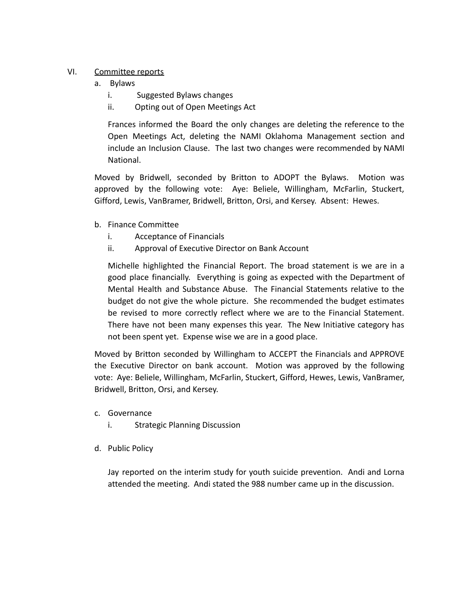# VI. Committee reports

- a. Bylaws
	- i. Suggested Bylaws changes
	- ii. Opting out of Open Meetings Act

Frances informed the Board the only changes are deleting the reference to the Open Meetings Act, deleting the NAMI Oklahoma Management section and include an Inclusion Clause. The last two changes were recommended by NAMI National.

Moved by Bridwell, seconded by Britton to ADOPT the Bylaws. Motion was approved by the following vote: Aye: Beliele, Willingham, McFarlin, Stuckert, Gifford, Lewis, VanBramer, Bridwell, Britton, Orsi, and Kersey. Absent: Hewes.

- b. Finance Committee
	- i. Acceptance of Financials
	- ii. Approval of Executive Director on Bank Account

Michelle highlighted the Financial Report. The broad statement is we are in a good place financially. Everything is going as expected with the Department of Mental Health and Substance Abuse. The Financial Statements relative to the budget do not give the whole picture. She recommended the budget estimates be revised to more correctly reflect where we are to the Financial Statement. There have not been many expenses this year. The New Initiative category has not been spent yet. Expense wise we are in a good place.

Moved by Britton seconded by Willingham to ACCEPT the Financials and APPROVE the Executive Director on bank account. Motion was approved by the following vote: Aye: Beliele, Willingham, McFarlin, Stuckert, Gifford, Hewes, Lewis, VanBramer, Bridwell, Britton, Orsi, and Kersey.

- c. Governance
	- i. Strategic Planning Discussion
- d. Public Policy

Jay reported on the interim study for youth suicide prevention. Andi and Lorna attended the meeting. Andi stated the 988 number came up in the discussion.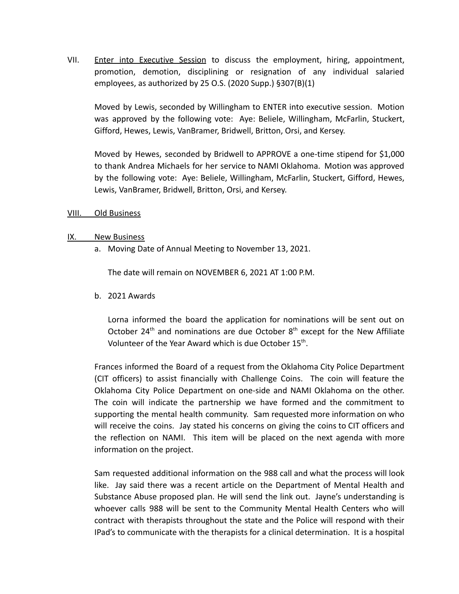VII. Enter into Executive Session to discuss the employment, hiring, appointment, promotion, demotion, disciplining or resignation of any individual salaried employees, as authorized by 25 O.S. (2020 Supp.) §307(B)(1)

Moved by Lewis, seconded by Willingham to ENTER into executive session. Motion was approved by the following vote: Aye: Beliele, Willingham, McFarlin, Stuckert, Gifford, Hewes, Lewis, VanBramer, Bridwell, Britton, Orsi, and Kersey.

Moved by Hewes, seconded by Bridwell to APPROVE a one-time stipend for \$1,000 to thank Andrea Michaels for her service to NAMI Oklahoma. Motion was approved by the following vote: Aye: Beliele, Willingham, McFarlin, Stuckert, Gifford, Hewes, Lewis, VanBramer, Bridwell, Britton, Orsi, and Kersey.

### VIII. Old Business

### IX. New Business

a. Moving Date of Annual Meeting to November 13, 2021.

The date will remain on NOVEMBER 6, 2021 AT 1:00 P.M.

b. 2021 Awards

Lorna informed the board the application for nominations will be sent out on October 24<sup>th</sup> and nominations are due October  $8<sup>th</sup>$  except for the New Affiliate Volunteer of the Year Award which is due October 15<sup>th</sup>.

Frances informed the Board of a request from the Oklahoma City Police Department (CIT officers) to assist financially with Challenge Coins. The coin will feature the Oklahoma City Police Department on one-side and NAMI Oklahoma on the other. The coin will indicate the partnership we have formed and the commitment to supporting the mental health community. Sam requested more information on who will receive the coins. Jay stated his concerns on giving the coins to CIT officers and the reflection on NAMI. This item will be placed on the next agenda with more information on the project.

Sam requested additional information on the 988 call and what the process will look like. Jay said there was a recent article on the Department of Mental Health and Substance Abuse proposed plan. He will send the link out. Jayne's understanding is whoever calls 988 will be sent to the Community Mental Health Centers who will contract with therapists throughout the state and the Police will respond with their IPad's to communicate with the therapists for a clinical determination. It is a hospital